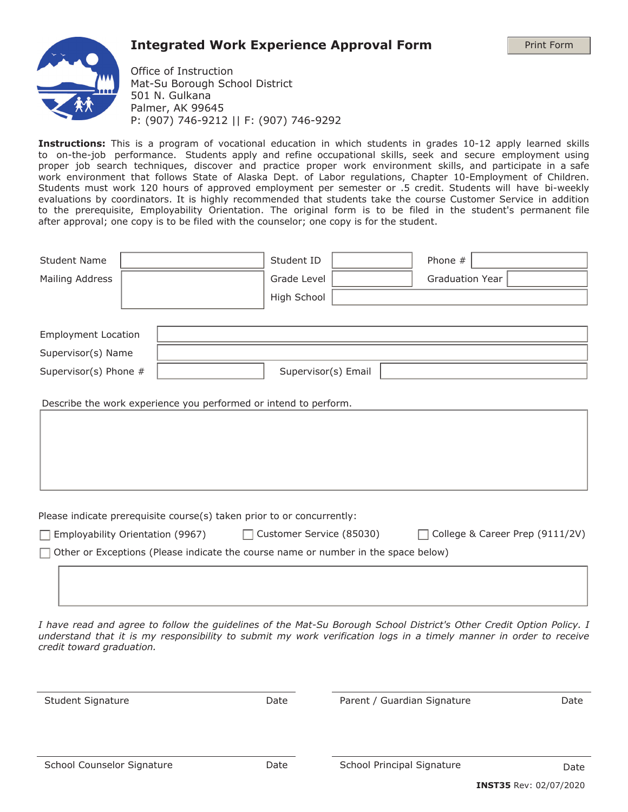## **Integrated Work Experience Approval Form**

Print Form



Office of Instruction Mat-Su Borough School District 501 N. Gulkana Palmer, AK 99645 P: (907) 746-9212 || F: (907) 746-9292

**Instructions:** This is a program of vocational education in which students in grades 10-12 apply learned skills to on-the-job performance. Students apply and refine occupational skills, seek and secure employment using proper job search techniques, discover and practice proper work environment skills, and participate in a safe work environment that follows State of Alaska Dept. of Labor regulations, Chapter 10-Employment of Children. Students must work 120 hours of approved employment per semester or .5 credit. Students will have bi-weekly evaluations by coordinators. It is highly recommended that students take the course Customer Service in addition to the prerequisite, Employability Orientation. The original form is to be filed in the student's permanent file after approval; one copy is to be filed with the counselor; one copy is for the student.

|                                                                             | Student ID                       | Phone #                                                                                                                                                                                       |                                                                                           |
|-----------------------------------------------------------------------------|----------------------------------|-----------------------------------------------------------------------------------------------------------------------------------------------------------------------------------------------|-------------------------------------------------------------------------------------------|
|                                                                             | Grade Level                      | <b>Graduation Year</b>                                                                                                                                                                        |                                                                                           |
|                                                                             | High School                      |                                                                                                                                                                                               | $\vert \mathbf{v} \vert$                                                                  |
|                                                                             |                                  |                                                                                                                                                                                               |                                                                                           |
|                                                                             |                                  |                                                                                                                                                                                               |                                                                                           |
|                                                                             |                                  |                                                                                                                                                                                               |                                                                                           |
|                                                                             |                                  |                                                                                                                                                                                               |                                                                                           |
|                                                                             |                                  |                                                                                                                                                                                               |                                                                                           |
| $\Box$                                                                      |                                  |                                                                                                                                                                                               | College & Career Prep (9111/2V)                                                           |
| <b>Employment Location</b><br>Supervisor(s) Name<br>Supervisor(s) Phone $#$ | Employability Orientation (9967) | Supervisor(s) Email<br>Describe the work experience you performed or intend to perform.<br>Please indicate prerequisite course(s) taken prior to or concurrently:<br>Customer Service (85030) | $\Box$ Other or Exceptions (Please indicate the course name or number in the space below) |

*I have read and agree to follow the guidelines of the Mat-Su Borough School District's Other Credit Option Policy. I understand that it is my responsibility to submit my work verification logs in a timely manner in order to receive credit toward graduation.*

Student Signature The Parent Parent / Guardian Signature Date Date